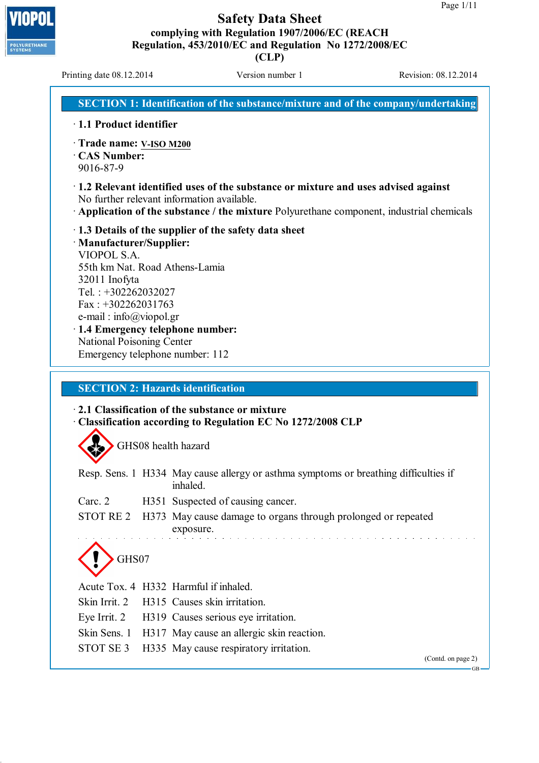**(CLP)**

Printing date 08.12.2014 Version number 1 Revision: 08.12.2014

POLYURETHANE<br>SYSTEMS

**SECTION 1: Identification of the substance/mixture and of the company/undertaking**

- · **1.1 Product identifier**
- · **Trade name: V-ISO M200**
- · **CAS Number:**
- 9016-87-9
- · **1.2 Relevant identified uses of the substance or mixture and uses advised against** No further relevant information available.
- · **Application of the substance / the mixture** Polyurethane component, industrial chemicals
- · **1.3 Details of the supplier of the safety data sheet** · **Manufacturer/Supplier:** VIOPOL S.A. 55th km Nat. Road Athens-Lamia 32011 Inofyta Tel. : +302262032027 Fax : +302262031763 e-mail : info@viopol.gr
- · **1.4 Emergency telephone number:** National Poisoning Center Emergency telephone number: 112

### **SECTION 2: Hazards identification**

#### · **2.1 Classification of the substance or mixture** · **Classification according to Regulation EC No 1272/2008 CLP**

GHS08 health hazard

|                                                                                      |  | Resp. Sens. 1 H334 May cause allergy or asthma symptoms or breathing difficulties if<br>inhaled. |  |  |  |
|--------------------------------------------------------------------------------------|--|--------------------------------------------------------------------------------------------------|--|--|--|
| Carc. 2                                                                              |  | H351 Suspected of causing cancer.                                                                |  |  |  |
| STOT RE 2 H373 May cause damage to organs through prolonged or repeated<br>exposure. |  |                                                                                                  |  |  |  |
| GHS07                                                                                |  |                                                                                                  |  |  |  |
|                                                                                      |  | Acute Tox. 4 H332 Harmful if inhaled.                                                            |  |  |  |
|                                                                                      |  | Skin Irrit. 2 H315 Causes skin irritation.                                                       |  |  |  |
|                                                                                      |  | Eye Irrit. 2 H319 Causes serious eye irritation.                                                 |  |  |  |
|                                                                                      |  | Skin Sens. 1 H317 May cause an allergic skin reaction.                                           |  |  |  |
| STOT SE 3                                                                            |  | H335 May cause respiratory irritation.                                                           |  |  |  |

(Contd. on page 2)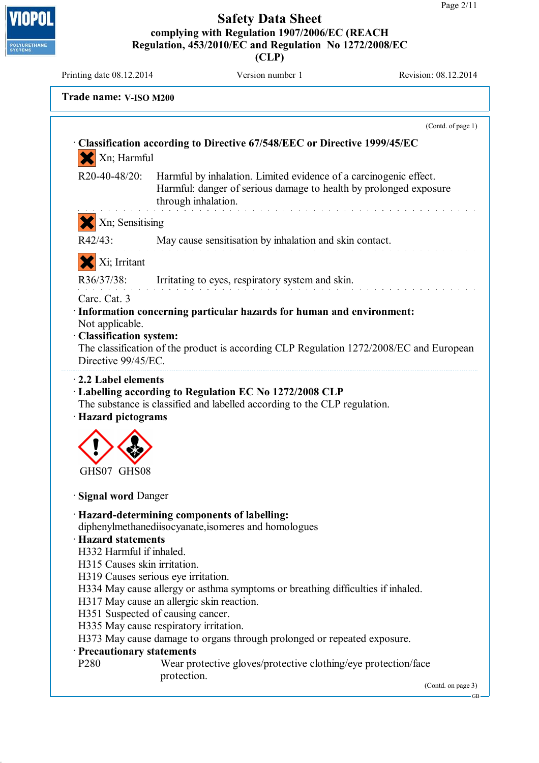**(CLP)**

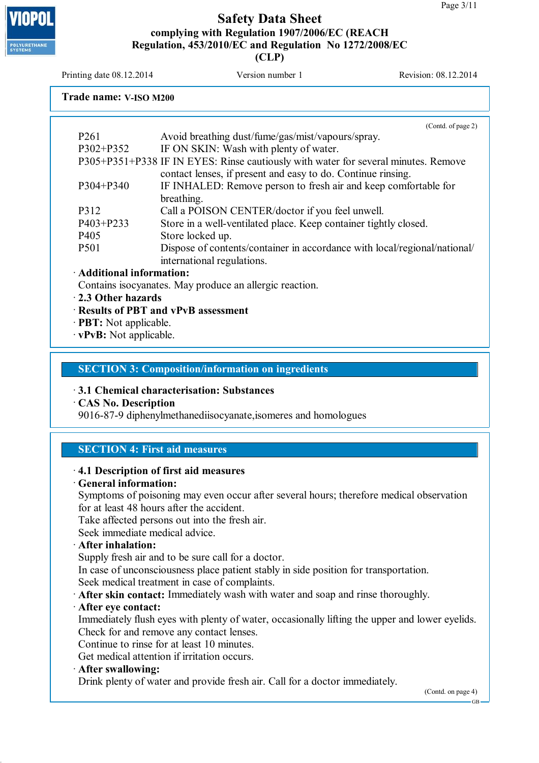# **LYURETHAN**

**Safety Data Sheet complying with Regulation 1907/2006/EC (REACH Regulation, 453/2010/EC and Regulation No 1272/2008/EC (CLP)**

Printing date  $08.12.2014$  Version number 1 Revision: 08.12.2014

#### **Trade name: V-ISO M200**

(Contd. of page 2) P261 Avoid breathing dust/fume/gas/mist/vapours/spray. P302+P352 IF ON SKIN: Wash with plenty of water. P305+P351+P338 IF IN EYES: Rinse cautiously with water for several minutes. Remove contact lenses, if present and easy to do. Continue rinsing. P304+P340 IF INHALED: Remove person to fresh air and keep comfortable for breathing. P312 Call a POISON CENTER/doctor if you feel unwell. P403+P233 Store in a well-ventilated place. Keep container tightly closed. P405 Store locked up. P501 Dispose of contents/container in accordance with local/regional/national/ international regulations. · **Additional information:** Contains isocyanates. May produce an allergic reaction.

- · **2.3 Other hazards**
- · **Results of PBT and vPvB assessment**
- · **PBT:** Not applicable.
- · **vPvB:** Not applicable.

#### **SECTION 3: Composition/information on ingredients**

#### · **3.1 Chemical characterisation: Substances**

· **CAS No. Description**

9016-87-9 diphenylmethanediisocyanate,isomeres and homologues

#### **SECTION 4: First aid measures**

#### · **4.1 Description of first aid measures**

· **General information:**

Symptoms of poisoning may even occur after several hours; therefore medical observation for at least 48 hours after the accident.

Take affected persons out into the fresh air.

Seek immediate medical advice.

· **After inhalation:**

Supply fresh air and to be sure call for a doctor.

In case of unconsciousness place patient stably in side position for transportation. Seek medical treatment in case of complaints.

· **After skin contact:** Immediately wash with water and soap and rinse thoroughly.

#### · **After eye contact:**

Immediately flush eyes with plenty of water, occasionally lifting the upper and lower eyelids. Check for and remove any contact lenses.

Continue to rinse for at least 10 minutes.

Get medical attention if irritation occurs.

· **After swallowing:**

Drink plenty of water and provide fresh air. Call for a doctor immediately.

(Contd. on page 4)

GB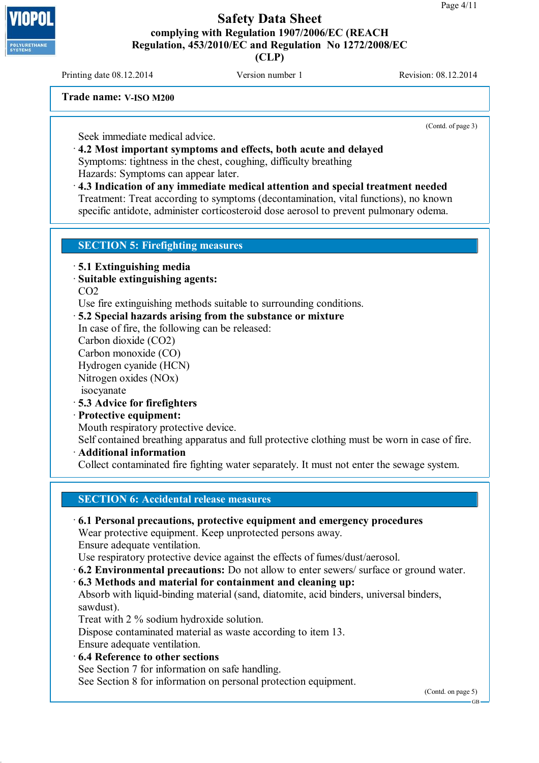Printing date  $08.12.2014$  Version number 1 Revision: 08.12.2014

**Trade name: V-ISO M200**

(Contd. of page 3)

Seek immediate medical advice.

· **4.2 Most important symptoms and effects, both acute and delayed** Symptoms: tightness in the chest, coughing, difficulty breathing Hazards: Symptoms can appear later.

· **4.3 Indication of any immediate medical attention and special treatment needed** Treatment: Treat according to symptoms (decontamination, vital functions), no known specific antidote, administer corticosteroid dose aerosol to prevent pulmonary odema.

#### **SECTION 5: Firefighting measures**

· **5.1 Extinguishing media**

· **Suitable extinguishing agents:**

CO2

Use fire extinguishing methods suitable to surrounding conditions.

· **5.2 Special hazards arising from the substance or mixture**

In case of fire, the following can be released:

Carbon dioxide (CO2)

Carbon monoxide (CO)

Hydrogen cyanide (HCN)

Nitrogen oxides (NOx)

isocyanate

· **5.3 Advice for firefighters**

#### · **Protective equipment:**

Mouth respiratory protective device.

Self contained breathing apparatus and full protective clothing must be worn in case of fire.

· **Additional information**

Collect contaminated fire fighting water separately. It must not enter the sewage system.

**SECTION 6: Accidental release measures**

#### · **6.1 Personal precautions, protective equipment and emergency procedures**

Wear protective equipment. Keep unprotected persons away.

Ensure adequate ventilation.

Use respiratory protective device against the effects of fumes/dust/aerosol.

· **6.2 Environmental precautions:** Do not allow to enter sewers/ surface or ground water.

· **6.3 Methods and material for containment and cleaning up:**

Absorb with liquid-binding material (sand, diatomite, acid binders, universal binders, sawdust).

Treat with 2 % sodium hydroxide solution.

Dispose contaminated material as waste according to item 13. Ensure adequate ventilation.

· **6.4 Reference to other sections**

See Section 7 for information on safe handling.

See Section 8 for information on personal protection equipment.

(Contd. on page 5)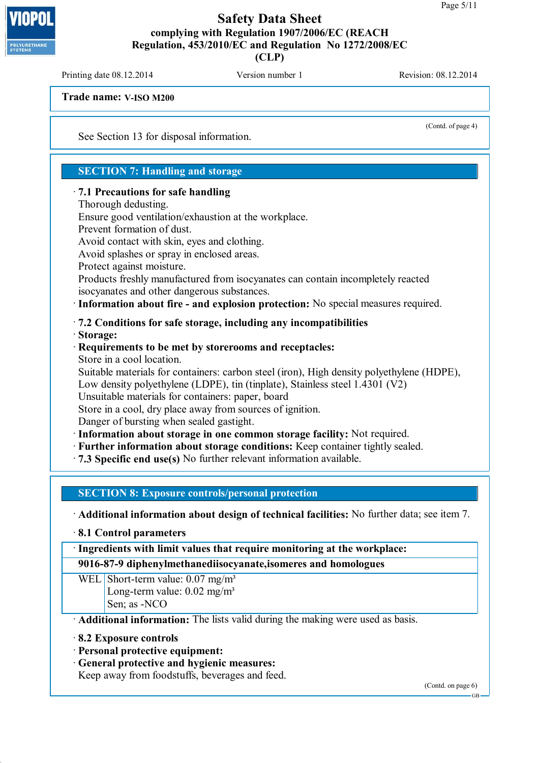**(CLP)**

Printing date  $08.12.2014$  Version number 1 Revision: 08.12.2014

**Trade name: V-ISO M200**

(Contd. of page 4)

See Section 13 for disposal information.

#### **SECTION 7: Handling and storage**

#### · **7.1 Precautions for safe handling**

Thorough dedusting.

Ensure good ventilation/exhaustion at the workplace.

Prevent formation of dust.

Avoid contact with skin, eyes and clothing.

Avoid splashes or spray in enclosed areas.

Protect against moisture.

Products freshly manufactured from isocyanates can contain incompletely reacted isocyanates and other dangerous substances.

·**Information about fire - and explosion protection:** No special measures required.

· **7.2 Conditions for safe storage, including any incompatibilities**

· **Storage:**

#### · **Requirements to be met by storerooms and receptacles:** Store in a cool location.

Suitable materials for containers: carbon steel (iron), High density polyethylene (HDPE), Low density polyethylene (LDPE), tin (tinplate), Stainless steel 1.4301 (V2)

Unsuitable materials for containers: paper, board

Store in a cool, dry place away from sources of ignition.

Danger of bursting when sealed gastight.

·**Information about storage in one common storage facility:** Not required.

- · **Further information about storage conditions:** Keep container tightly sealed.
- · **7.3 Specific end use(s)** No further relevant information available.

**SECTION 8: Exposure controls/personal protection**

· **Additional information about design of technical facilities:** No further data; see item 7.

· **8.1 Control parameters**

·**Ingredients with limit values that require monitoring at the workplace:**

**9016-87-9 diphenylmethanediisocyanate,isomeres and homologues**

WEL Short-term value: 0.07 mg/m<sup>3</sup> Long-term value:  $0.02$  mg/m<sup>3</sup> Sen; as -NCO

· **Additional information:** The lists valid during the making were used as basis.

#### · **8.2 Exposure controls**

· **Personal protective equipment:**

· **General protective and hygienic measures:**

Keep away from foodstuffs, beverages and feed.

(Contd. on page 6)

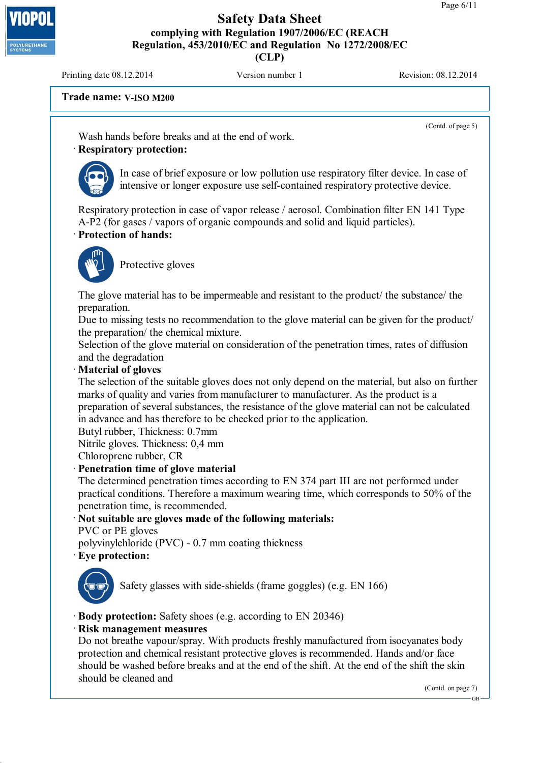Printing date  $08.12.2014$  Version number 1 Revision: 08.12.2014

**LYURETHAN** 

**Trade name: V-ISO M200**

(Contd. of page 5)

Wash hands before breaks and at the end of work.

# · **Respiratory protection:**



In case of brief exposure or low pollution use respiratory filter device. In case of intensive or longer exposure use self-contained respiratory protective device.

Respiratory protection in case of vapor release / aerosol. Combination filter EN 141 Type A-P2 (for gases / vapors of organic compounds and solid and liquid particles).

# · **Protection of hands:**



Protective gloves

The glove material has to be impermeable and resistant to the product/ the substance/ the preparation.

Due to missing tests no recommendation to the glove material can be given for the product/ the preparation/ the chemical mixture.

Selection of the glove material on consideration of the penetration times, rates of diffusion and the degradation

#### · **Material of gloves**

The selection of the suitable gloves does not only depend on the material, but also on further marks of quality and varies from manufacturer to manufacturer. As the product is a preparation of several substances, the resistance of the glove material can not be calculated in advance and has therefore to be checked prior to the application.

Butyl rubber, Thickness: 0.7mm

Nitrile gloves. Thickness: 0,4 mm

Chloroprene rubber, CR

#### · **Penetration time of glove material**

The determined penetration times according to EN 374 part III are not performed under practical conditions. Therefore a maximum wearing time, which corresponds to 50% of the penetration time, is recommended.

#### · **Not suitable are gloves made of the following materials:**

PVC or PE gloves

polyvinylchloride (PVC) - 0.7 mm coating thickness

#### · **Eye protection:**



Safety glasses with side-shields (frame goggles) (e.g. EN 166)

· **Body protection:** Safety shoes (e.g. according to EN 20346)

#### · **Risk management measures**

Do not breathe vapour/spray. With products freshly manufactured from isocyanates body protection and chemical resistant protective gloves is recommended. Hands and/or face should be washed before breaks and at the end of the shift. At the end of the shift the skin should be cleaned and

(Contd. on page 7)

GB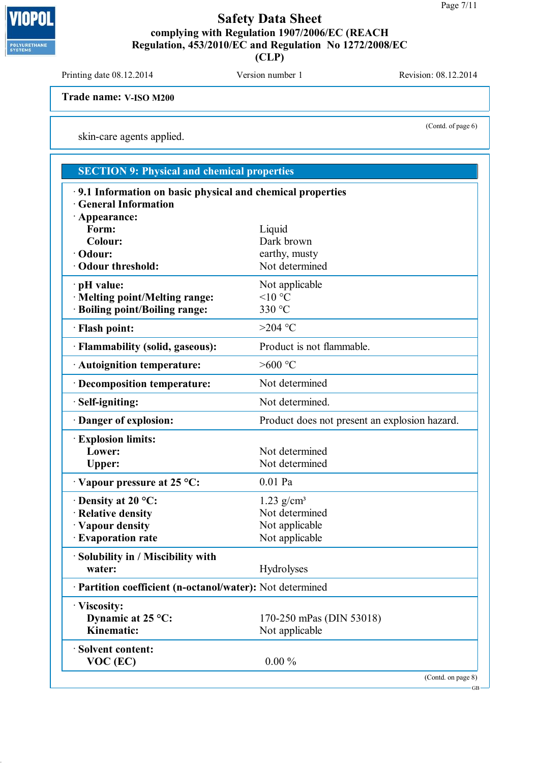**(CLP)**

Printing date 08.12.2014 Version number 1 Revision: 08.12.2014

**Trade name: V-ISO M200**

skin-care agents applied.

# **SECTION 9: Physical and chemical properties**

| 9.1 Information on basic physical and chemical properties |                                               |  |  |  |  |
|-----------------------------------------------------------|-----------------------------------------------|--|--|--|--|
| <b>General Information</b>                                |                                               |  |  |  |  |
| Appearance:                                               |                                               |  |  |  |  |
| Form:<br><b>Colour:</b>                                   | Liquid<br>Dark brown                          |  |  |  |  |
| · Odour:                                                  | earthy, musty                                 |  |  |  |  |
| · Odour threshold:                                        | Not determined                                |  |  |  |  |
|                                                           |                                               |  |  |  |  |
| $\cdot$ pH value:                                         | Not applicable                                |  |  |  |  |
| · Melting point/Melting range:                            | $<$ 10 °C                                     |  |  |  |  |
| · Boiling point/Boiling range:                            | 330 °C                                        |  |  |  |  |
| · Flash point:                                            | $>204$ °C                                     |  |  |  |  |
| · Flammability (solid, gaseous):                          | Product is not flammable.                     |  |  |  |  |
| · Autoignition temperature:                               | $>600$ °C                                     |  |  |  |  |
| · Decomposition temperature:                              | Not determined                                |  |  |  |  |
| · Self-igniting:                                          | Not determined.                               |  |  |  |  |
| Danger of explosion:                                      | Product does not present an explosion hazard. |  |  |  |  |
| <b>Explosion limits:</b>                                  |                                               |  |  |  |  |
| Lower:                                                    | Not determined                                |  |  |  |  |
| <b>Upper:</b>                                             | Not determined                                |  |  |  |  |
| Vapour pressure at 25 °C:                                 | $0.01$ Pa                                     |  |  |  |  |
| $\cdot$ Density at 20 °C:                                 | $1.23$ g/cm <sup>3</sup>                      |  |  |  |  |
| · Relative density                                        | Not determined                                |  |  |  |  |
| · Vapour density                                          | Not applicable                                |  |  |  |  |
| · Evaporation rate                                        | Not applicable                                |  |  |  |  |
| Solubility in / Miscibility with                          |                                               |  |  |  |  |
| water:                                                    | Hydrolyses                                    |  |  |  |  |
| Partition coefficient (n-octanol/water): Not determined   |                                               |  |  |  |  |
| · Viscosity:                                              |                                               |  |  |  |  |
| Dynamic at 25 °C:                                         | 170-250 mPas (DIN 53018)                      |  |  |  |  |
| Kinematic:                                                | Not applicable                                |  |  |  |  |
| · Solvent content:                                        |                                               |  |  |  |  |
| VOC (EC)                                                  | $0.00\%$                                      |  |  |  |  |



(Contd. of page 6)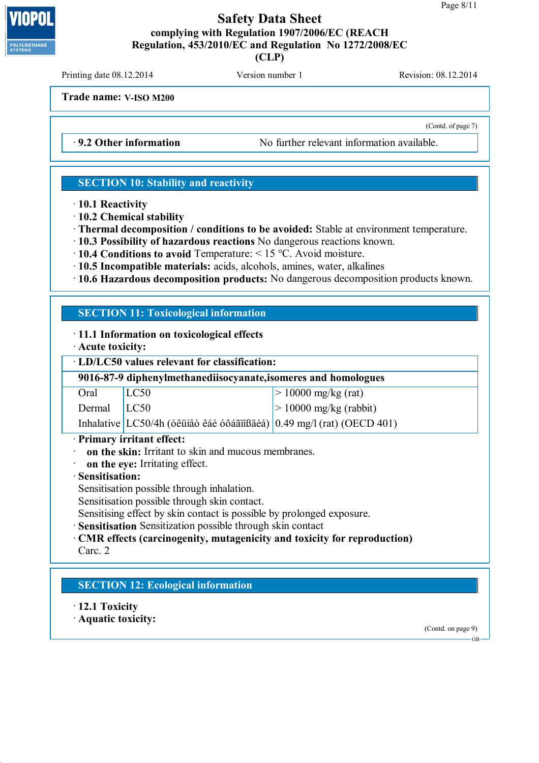**(CLP)**

Printing date  $08.12.2014$  Version number 1 Revision: 08.12.2014

(Contd. of page 7)

**Trade name: V-ISO M200**

· **9.2 Other information** No further relevant information available.

#### **SECTION 10: Stability and reactivity**

· **10.1 Reactivity**

· **10.2 Chemical stability**

· **Thermal decomposition / conditions to be avoided:** Stable at environment temperature.

- · **10.3 Possibility of hazardous reactions** No dangerous reactions known.
- · **10.4 Conditions to avoid** Temperature: < 15 °C. Avoid moisture.
- · **10.5 Incompatible materials:** acids, alcohols, amines, water, alkalines
- · **10.6 Hazardous decomposition products:** No dangerous decomposition products known.

#### **SECTION 11: Toxicological information**

#### · **11.1 Information on toxicological effects**

· **Acute toxicity:**

· **LD/LC50 values relevant for classification:**

| 9016-87-9 diphenylmethanediisocyanate, isomeres and homologues |                                                                       |                                |  |  |  |  |
|----------------------------------------------------------------|-----------------------------------------------------------------------|--------------------------------|--|--|--|--|
| Oral                                                           | LC50                                                                  | $ > 10000 \text{ mg/kg (rat)}$ |  |  |  |  |
| Dermal   LC50                                                  |                                                                       | $> 10000$ mg/kg (rabbit)       |  |  |  |  |
|                                                                | Inhalative LC50/4h (óêüíåò êáé óôáãïíßäéá) 0.49 mg/l (rat) (OECD 401) |                                |  |  |  |  |

· **Primary irritant effect:**

- · **on the skin:** Irritant to skin and mucous membranes.
- · **on the eye:** Irritating effect.

· **Sensitisation:**

Sensitisation possible through inhalation.

Sensitisation possible through skin contact.

Sensitising effect by skin contact is possible by prolonged exposure.

**Sensitisation** Sensitization possible through skin contact

#### · **CMR effects (carcinogenity, mutagenicity and toxicity for reproduction)**

Carc. 2

# **SECTION 12: Ecological information**

· **12.1 Toxicity**

· **Aquatic toxicity:**

(Contd. on page 9)

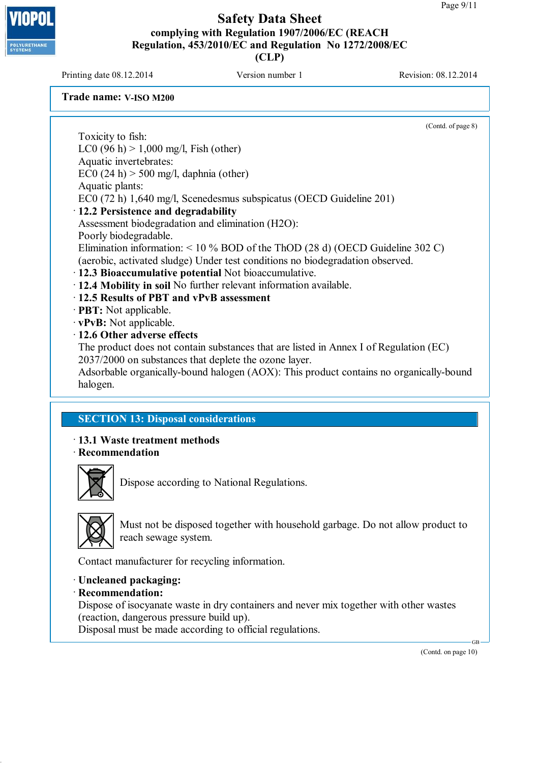Printing date  $08.12.2014$  Version number 1 Revision: 08.12.2014

**LYURETHAN** 

**Trade name: V-ISO M200**

(Contd. of page 8) Toxicity to fish: LC0 (96 h)  $> 1,000$  mg/l, Fish (other) Aquatic invertebrates: EC0 (24 h)  $>$  500 mg/l, daphnia (other) Aquatic plants: EC0 (72 h) 1,640 mg/l, Scenedesmus subspicatus (OECD Guideline 201) · **12.2 Persistence and degradability** Assessment biodegradation and elimination (H2O): Poorly biodegradable. Elimination information: < 10 % BOD of the ThOD (28 d) (OECD Guideline 302 C) (aerobic, activated sludge) Under test conditions no biodegradation observed. · **12.3 Bioaccumulative potential** Not bioaccumulative. · **12.4 Mobility in soil** No further relevant information available. · **12.5 Results of PBT and vPvB assessment** · **PBT:** Not applicable. · **vPvB:** Not applicable. · **12.6 Other adverse effects** The product does not contain substances that are listed in Annex I of Regulation (EC) 2037/2000 on substances that deplete the ozone layer. Adsorbable organically-bound halogen (AOX): This product contains no organically-bound

#### **SECTION 13: Disposal considerations**

· **13.1 Waste treatment methods** · **Recommendation**



halogen.

Dispose according to National Regulations.



Must not be disposed together with household garbage. Do not allow product to reach sewage system.

Contact manufacturer for recycling information.

#### · **Uncleaned packaging:**

#### · **Recommendation:**

Dispose of isocyanate waste in dry containers and never mix together with other wastes (reaction, dangerous pressure build up).

Disposal must be made according to official regulations.

(Contd. on page 10)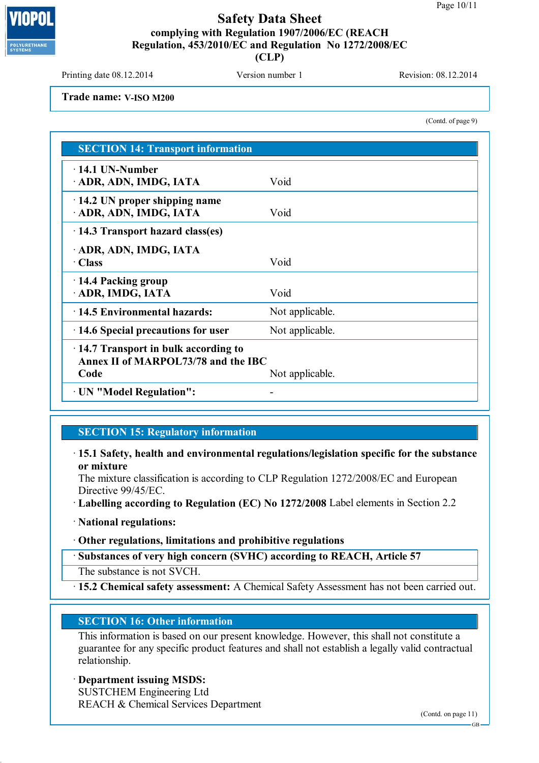

Printing date 08.12.2014 Version number 1 Revision: 08.12.2014

**Trade name: V-ISO M200**

(Contd. of page 9)

| <b>SECTION 14: Transport information</b>                                           |                 |  |  |  |
|------------------------------------------------------------------------------------|-----------------|--|--|--|
| $\cdot$ 14.1 UN-Number<br>ADR, ADN, IMDG, IATA                                     | Void            |  |  |  |
| $\cdot$ 14.2 UN proper shipping name<br>ADR, ADN, IMDG, IATA                       | Void            |  |  |  |
| 14.3 Transport hazard class(es)                                                    |                 |  |  |  |
| ADR, ADN, IMDG, IATA<br>· Class                                                    | Void            |  |  |  |
| 14.4 Packing group<br>ADR, IMDG, IATA                                              | Void            |  |  |  |
| $\cdot$ 14.5 Environmental hazards:                                                | Not applicable. |  |  |  |
| $\cdot$ 14.6 Special precautions for user                                          | Not applicable. |  |  |  |
| $\cdot$ 14.7 Transport in bulk according to<br>Annex II of MARPOL73/78 and the IBC |                 |  |  |  |
| Code                                                                               | Not applicable. |  |  |  |
| · UN "Model Regulation":                                                           |                 |  |  |  |

#### **SECTION 15: Regulatory information**

· **15.1 Safety, health and environmental regulations/legislation specific for the substance or mixture**

The mixture classification is according to CLP Regulation 1272/2008/EC and European Directive 99/45/EC.

- · **Labelling according to Regulation (EC) No 1272/2008** Label elements in Section 2.2
- · **National regulations:**
- · **Other regulations, limitations and prohibitive regulations**
- · **Substances of very high concern (SVHC) according to REACH, Article 57**
- The substance is not SVCH.

· **15.2 Chemical safety assessment:** A Chemical Safety Assessment has not been carried out.

#### **SECTION 16: Other information**

This information is based on our present knowledge. However, this shall not constitute a guarantee for any specific product features and shall not establish a legally valid contractual relationship.

# · **Department issuing MSDS:**

SUSTCHEM Engineering Ltd REACH & Chemical Services Department